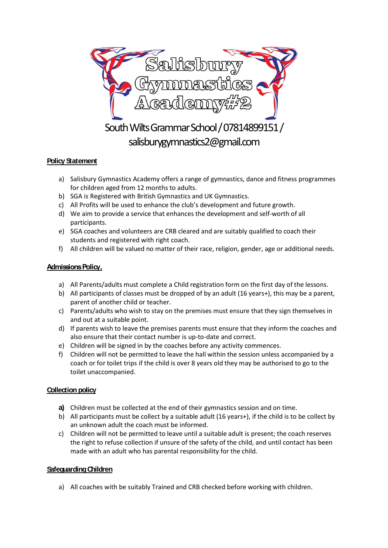

# **Policy Statement**

- a) Salisbury Gymnastics Academy offers a range of gymnastics, dance and fitness programmes for children aged from 12 months to adults.
- b) SGA is Registered with British Gymnastics and UK Gymnastics.
- c) All Profits will be used to enhance the club's development and future growth.
- d) We aim to provide a service that enhances the development and self-worth of all participants.
- e) SGA coaches and volunteers are CRB cleared and are suitably qualified to coach their students and registered with right coach.
- f) All children will be valued no matter of their race, religion, gender, age or additional needs.

## **Admissions Policy,**

- a) All Parents/adults must complete a Child registration form on the first day of the lessons.
- b) All participants of classes must be dropped of by an adult (16 years+), this may be a parent, parent of another child or teacher.
- c) Parents/adults who wish to stay on the premises must ensure that they sign themselves in and out at a suitable point.
- d) If parents wish to leave the premises parents must ensure that they inform the coaches and also ensure that their contact number is up-to-date and correct.
- e) Children will be signed in by the coaches before any activity commences.
- f) Children will not be permitted to leave the hall within the session unless accompanied by a coach or for toilet trips if the child is over 8 years old they may be authorised to go to the toilet unaccompanied.

# **Collection policy**

- **a)** Children must be collected at the end of their gymnastics session and on time.
- b) All participants must be collect by a suitable adult (16 years+), if the child is to be collect by an unknown adult the coach must be informed.
- c) Children will not be permitted to leave until a suitable adult is present; the coach reserves the right to refuse collection if unsure of the safety of the child, and until contact has been made with an adult who has parental responsibility for the child.

## **SafeguardingChildren**

a) All coaches with be suitably Trained and CRB checked before working with children.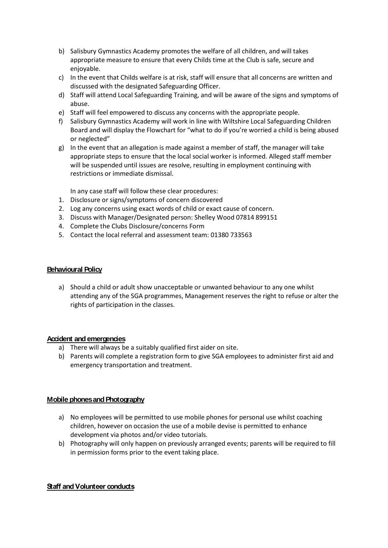- b) Salisbury Gymnastics Academy promotes the welfare of all children, and will takes appropriate measure to ensure that every Childs time at the Club is safe, secure and enjoyable.
- c) In the event that Childs welfare is at risk, staff will ensure that all concerns are written and discussed with the designated Safeguarding Officer.
- d) Staff will attend Local Safeguarding Training, and will be aware of the signs and symptoms of abuse.
- e) Staff will feel empowered to discuss any concerns with the appropriate people.
- f) Salisbury Gymnastics Academy will work in line with Wiltshire Local Safeguarding Children Board and will display the Flowchart for "what to do if you're worried a child is being abused or neglected"
- g) In the event that an allegation is made against a member of staff, the manager will take appropriate steps to ensure that the local social worker is informed. Alleged staff member will be suspended until issues are resolve, resulting in employment continuing with restrictions or immediate dismissal.

In any case staff will follow these clear procedures:

- 1. Disclosure or signs/symptoms of concern discovered
- 2. Log any concerns using exact words of child or exact cause of concern.
- 3. Discuss with Manager/Designated person: Shelley Wood 07814 899151
- 4. Complete the Clubs Disclosure/concerns Form
- 5. Contact the local referral and assessment team: 01380 733563

### **Behavioural Policy**

a) Should a child or adult show unacceptable or unwanted behaviour to any one whilst attending any of the SGA programmes, Management reserves the right to refuse or alter the rights of participation in the classes.

#### **Accident andemergencies**

- a) There will always be a suitably qualified first aider on site.
- b) Parents will complete a registration form to give SGA employees to administer first aid and emergency transportation and treatment.

#### **Mobile phones and Photography**

- a) No employees will be permitted to use mobile phones for personal use whilst coaching children, however on occasion the use of a mobile devise is permitted to enhance development via photos and/or video tutorials.
- b) Photography will only happen on previously arranged events; parents will be required to fill in permission forms prior to the event taking place.

#### **Staff andVolunteer conducts**